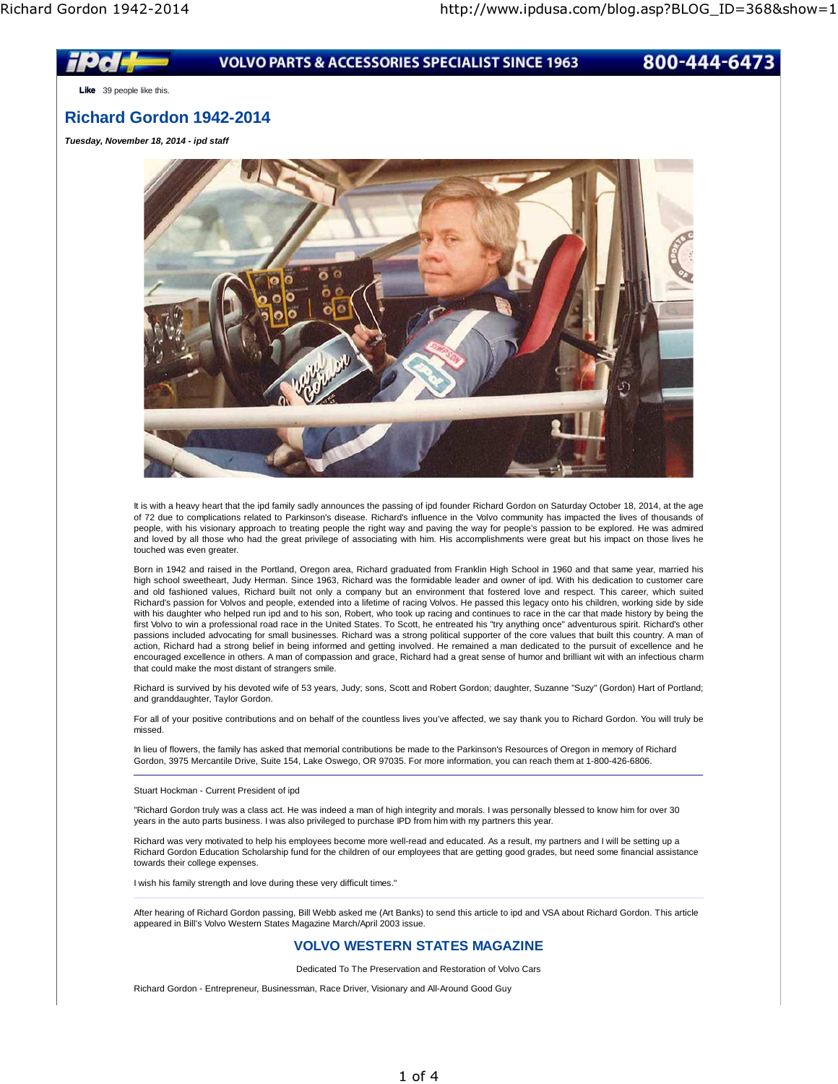

**Like** 39 people like this.

# **Richard Gordon 1942-2014**

**Tuesday, November 18, 2014 - ipd staff**



It is with a heavy heart that the ipd family sadly announces the passing of ipd founder Richard Gordon on Saturday October 18, 2014, at the age of 72 due to complications related to Parkinson's disease. Richard's influence in the Volvo community has impacted the lives of thousands of people, with his visionary approach to treating people the right way and paving the way for people's passion to be explored. He was admired and loved by all those who had the great privilege of associating with him. His accomplishments were great but his impact on those lives he touched was even greater.

Born in 1942 and raised in the Portland, Oregon area, Richard graduated from Franklin High School in 1960 and that same year, married his high school sweetheart, Judy Herman. Since 1963, Richard was the formidable leader and owner of ipd. With his dedication to customer care and old fashioned values, Richard built not only a company but an environment that fostered love and respect. This career, which suited Richard's passion for Volvos and people, extended into a lifetime of racing Volvos. He passed this legacy onto his children, working side by side with his daughter who helped run ipd and to his son, Robert, who took up racing and continues to race in the car that made history by being the first Volvo to win a professional road race in the United States. To Scott, he entreated his "try anything once" adventurous spirit. Richard's other passions included advocating for small businesses. Richard was a strong political supporter of the core values that built this country. A man of action, Richard had a strong belief in being informed and getting involved. He remained a man dedicated to the pursuit of excellence and he encouraged excellence in others. A man of compassion and grace, Richard had a great sense of humor and brilliant wit with an infectious charm that could make the most distant of strangers smile.

Richard is survived by his devoted wife of 53 years, Judy; sons, Scott and Robert Gordon; daughter, Suzanne "Suzy" (Gordon) Hart of Portland; and granddaughter, Taylor Gordon.

For all of your positive contributions and on behalf of the countless lives you've affected, we say thank you to Richard Gordon. You will truly be missed.

In lieu of flowers, the family has asked that memorial contributions be made to the Parkinson's Resources of Oregon in memory of Richard Gordon, 3975 Mercantile Drive, Suite 154, Lake Oswego, OR 97035. For more information, you can reach them at 1-800-426-6806.

Stuart Hockman - Current President of ipd

"Richard Gordon truly was a class act. He was indeed a man of high integrity and morals. I was personally blessed to know him for over 30 years in the auto parts business. I was also privileged to purchase IPD from him with my partners this year.

Richard was very motivated to help his employees become more well-read and educated. As a result, my partners and I will be setting up a Richard Gordon Education Scholarship fund for the children of our employees that are getting good grades, but need some financial assistance towards their college expenses.

I wish his family strength and love during these very difficult times."

After hearing of Richard Gordon passing, Bill Webb asked me (Art Banks) to send this article to ipd and VSA about Richard Gordon. This article appeared in Bill's Volvo Western States Magazine March/April 2003 issue.

## **VOLVO WESTERN STATES MAGAZINE**

Dedicated To The Preservation and Restoration of Volvo Cars

Richard Gordon - Entrepreneur, Businessman, Race Driver, Visionary and All-Around Good Guy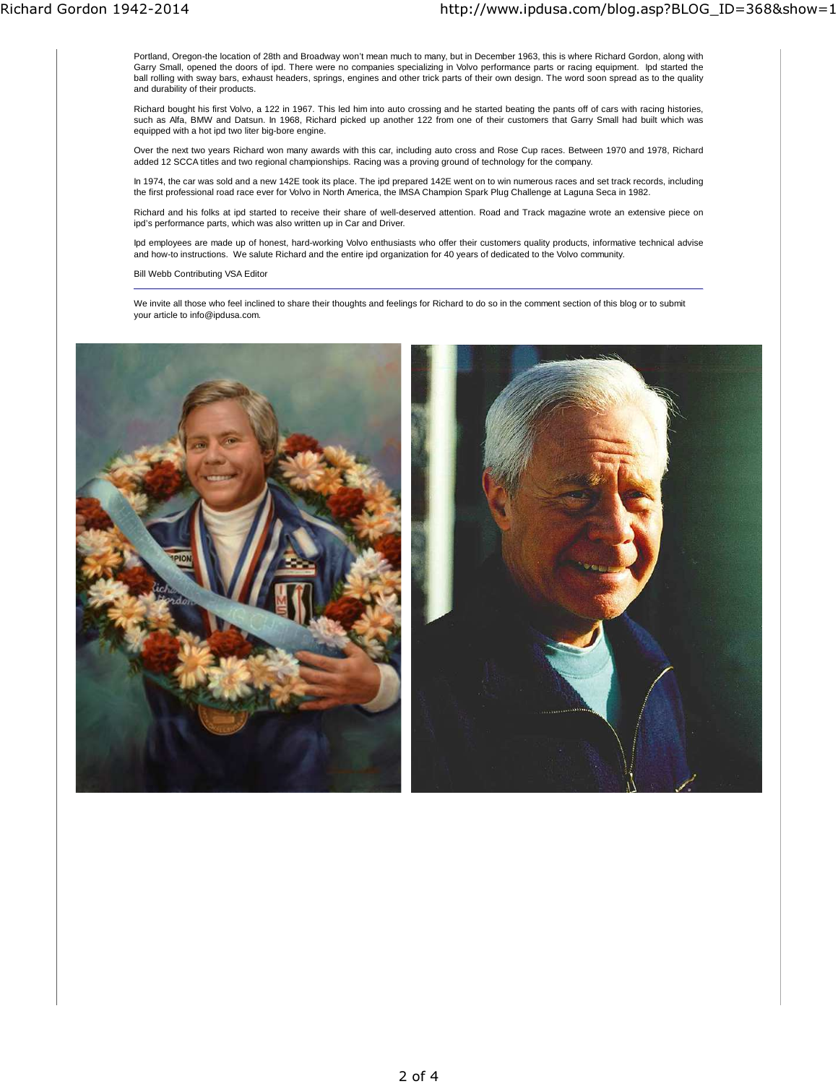Portland, Oregon-the location of 28th and Broadway won't mean much to many, but in December 1963, this is where Richard Gordon, along with Garry Small, opened the doors of ipd. There were no companies specializing in Volvo performance parts or racing equipment. Ipd started the ball rolling with sway bars, exhaust headers, springs, engines and other trick parts of their own design. The word soon spread as to the quality and durability of their products.

Richard bought his first Volvo, a 122 in 1967. This led him into auto crossing and he started beating the pants off of cars with racing histories, such as Alfa, BMW and Datsun. In 1968, Richard picked up another 122 from one of their customers that Garry Small had built which was equipped with a hot ipd two liter big-bore engine.

Over the next two years Richard won many awards with this car, including auto cross and Rose Cup races. Between 1970 and 1978, Richard added 12 SCCA titles and two regional championships. Racing was a proving ground of technology for the company.

In 1974, the car was sold and a new 142E took its place. The ipd prepared 142E went on to win numerous races and set track records, including the first professional road race ever for Volvo in North America, the IMSA Champion Spark Plug Challenge at Laguna Seca in 1982.

Richard and his folks at ipd started to receive their share of well-deserved attention. Road and Track magazine wrote an extensive piece on ipd's performance parts, which was also written up in Car and Driver.

Ipd employees are made up of honest, hard-working Volvo enthusiasts who offer their customers quality products, informative technical advise and how-to instructions. We salute Richard and the entire ipd organization for 40 years of dedicated to the Volvo community.

Bill Webb Contributing VSA Editor

We invite all those who feel inclined to share their thoughts and feelings for Richard to do so in the comment section of this blog or to submit your article to info@ipdusa.com.

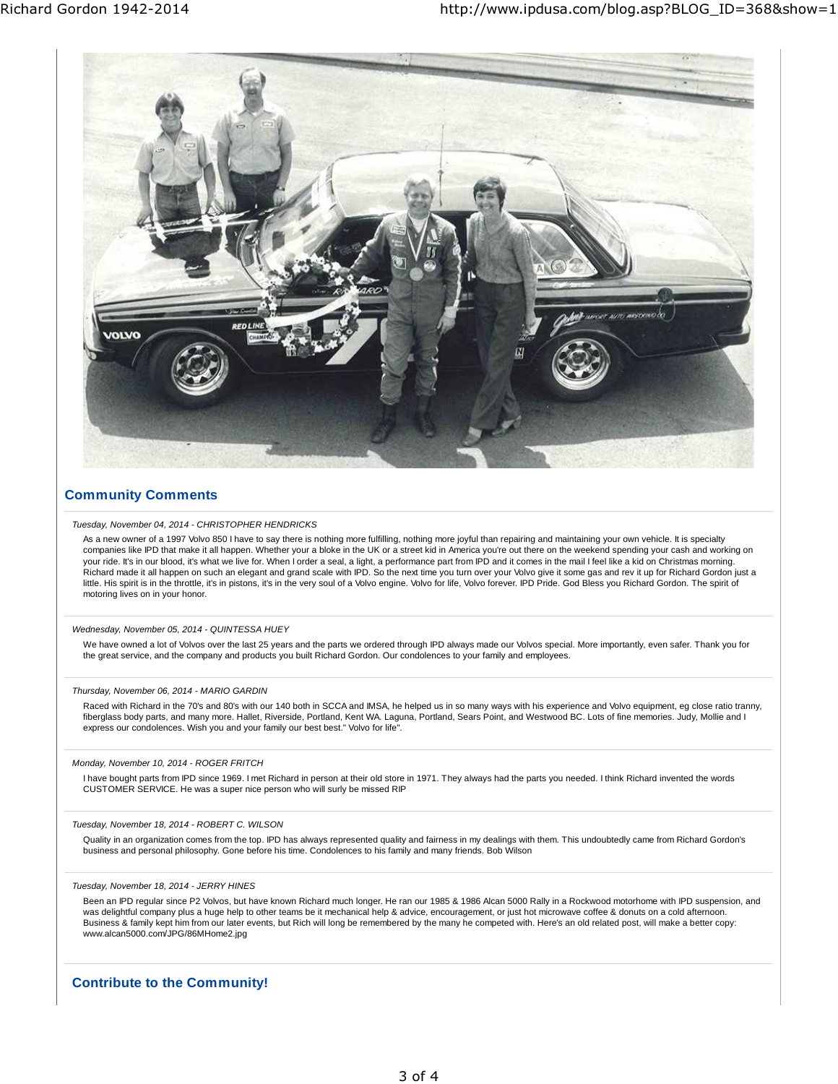

## **Community Comments**

### Tuesday, November 04, 2014 - CHRISTOPHER HENDRICKS

As a new owner of a 1997 Volvo 850 I have to say there is nothing more fulfilling, nothing more joyful than repairing and maintaining your own vehicle. It is specialty companies like IPD that make it all happen. Whether your a bloke in the UK or a street kid in America you're out there on the weekend spending your cash and working on your ride. It's in our blood, it's what we live for. When I order a seal, a light, a performance part from IPD and it comes in the mail I feel like a kid on Christmas morning. Richard made it all happen on such an elegant and grand scale with IPD. So the next time you turn over your Volvo give it some gas and rev it up for Richard Gordon just a<br>little. His spirit is in the throttle, it's in pist motoring lives on in your honor.

### Wednesday, November 05, 2014 - QUINTESSA HUEY

We have owned a lot of Volvos over the last 25 years and the parts we ordered through IPD always made our Volvos special. More importantly, even safer. Thank you for the great service, and the company and products you built Richard Gordon. Our condolences to your family and employees.

### Thursday, November 06, 2014 - MARIO GARDIN

Raced with Richard in the 70's and 80's with our 140 both in SCCA and IMSA, he helped us in so many ways with his experience and Volvo equipment, eg close ratio tranny, fiberglass body parts, and many more. Hallet, Riverside, Portland, Kent WA. Laguna, Portland, Sears Point, and Westwood BC. Lots of fine memories. Judy, Mollie and I express our condolences. Wish you and your family our best best." Volvo for life".

### Monday, November 10, 2014 - ROGER FRITCH

I have bought parts from IPD since 1969. I met Richard in person at their old store in 1971. They always had the parts you needed. I think Richard invented the words CUSTOMER SERVICE. He was a super nice person who will surly be missed RIP

#### Tuesday, November 18, 2014 - ROBERT C. WILSON

Quality in an organization comes from the top. IPD has always represented quality and fairness in my dealings with them. This undoubtedly came from Richard Gordon's business and personal philosophy. Gone before his time. Condolences to his family and many friends. Bob Wilson

### Tuesday, November 18, 2014 - JERRY HINES

Been an IPD regular since P2 Volvos, but have known Richard much longer. He ran our 1985 & 1986 Alcan 5000 Rally in a Rockwood motorhome with IPD suspension, and was delightful company plus a huge help to other teams be it mechanical help & advice, encouragement, or just hot microwave coffee & donuts on a cold afternoon. Business & family kept him from our later events, but Rich will long be remembered by the many he competed with. Here's an old related post, will make a better copy: www.alcan5000.com/JPG/86MHome2.jpg

## **Contribute to the Community!**